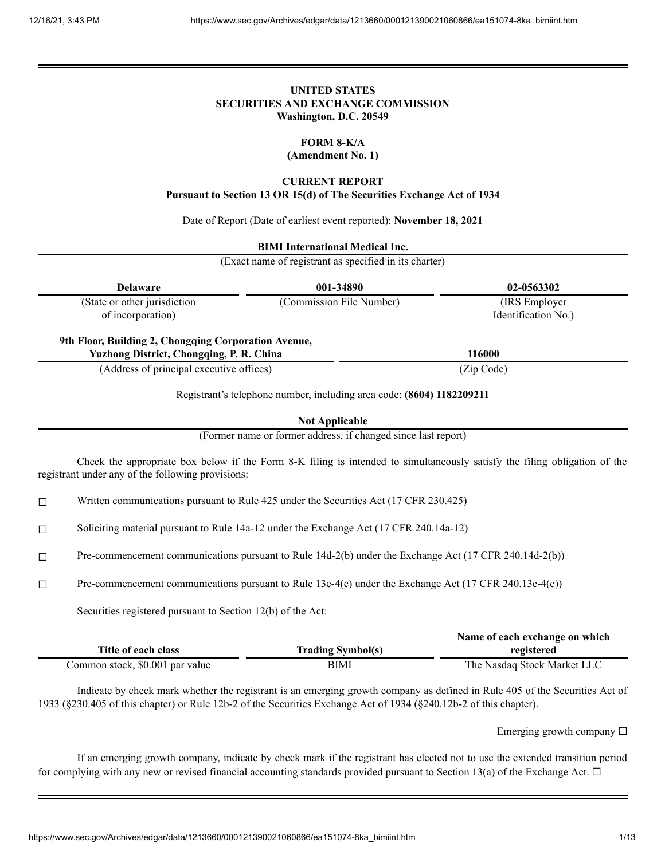# **UNITED STATES SECURITIES AND EXCHANGE COMMISSION Washington, D.C. 20549**

# **FORM 8-K/A**

**(Amendment No. 1)**

# **CURRENT REPORT**

**Pursuant to Section 13 OR 15(d) of The Securities Exchange Act of 1934**

Date of Report (Date of earliest event reported): **November 18, 2021**

# **BIMI International Medical Inc.**

(Exact name of registrant as specified in its charter)

| <b>Delaware</b>                                                                                         | 001-34890                | 02-0563302          |
|---------------------------------------------------------------------------------------------------------|--------------------------|---------------------|
| (State or other jurisdiction                                                                            | (Commission File Number) | (IRS Employer)      |
| of incorporation)                                                                                       |                          | Identification No.) |
| 9th Floor, Building 2, Chongqing Corporation Avenue,<br><b>Yuzhong District, Chongqing, P. R. China</b> |                          | 116000              |
| (Address of principal executive offices)                                                                |                          | (Zip Code)          |

Registrant's telephone number, including area code: **(8604) 1182209211**

## **Not Applicable**

(Former name or former address, if changed since last report)

Check the appropriate box below if the Form 8-K filing is intended to simultaneously satisfy the filing obligation of the registrant under any of the following provisions:

☐ Written communications pursuant to Rule 425 under the Securities Act (17 CFR 230.425)

☐ Soliciting material pursuant to Rule 14a-12 under the Exchange Act (17 CFR 240.14a-12)

☐ Pre-commencement communications pursuant to Rule 14d-2(b) under the Exchange Act (17 CFR 240.14d-2(b))

☐ Pre-commencement communications pursuant to Rule 13e-4(c) under the Exchange Act (17 CFR 240.13e-4(c))

Securities registered pursuant to Section 12(b) of the Act:

|                                 |                          | Name of each exchange on which |
|---------------------------------|--------------------------|--------------------------------|
| Title of each class             | <b>Trading Symbol(s)</b> | registered                     |
| Common stock, \$0.001 par value | BIMI                     | The Nasdaq Stock Market LLC    |

Indicate by check mark whether the registrant is an emerging growth company as defined in Rule 405 of the Securities Act of 1933 (§230.405 of this chapter) or Rule 12b-2 of the Securities Exchange Act of 1934 (§240.12b-2 of this chapter).

Emerging growth company  $\Box$ 

If an emerging growth company, indicate by check mark if the registrant has elected not to use the extended transition period for complying with any new or revised financial accounting standards provided pursuant to Section 13(a) of the Exchange Act.  $\Box$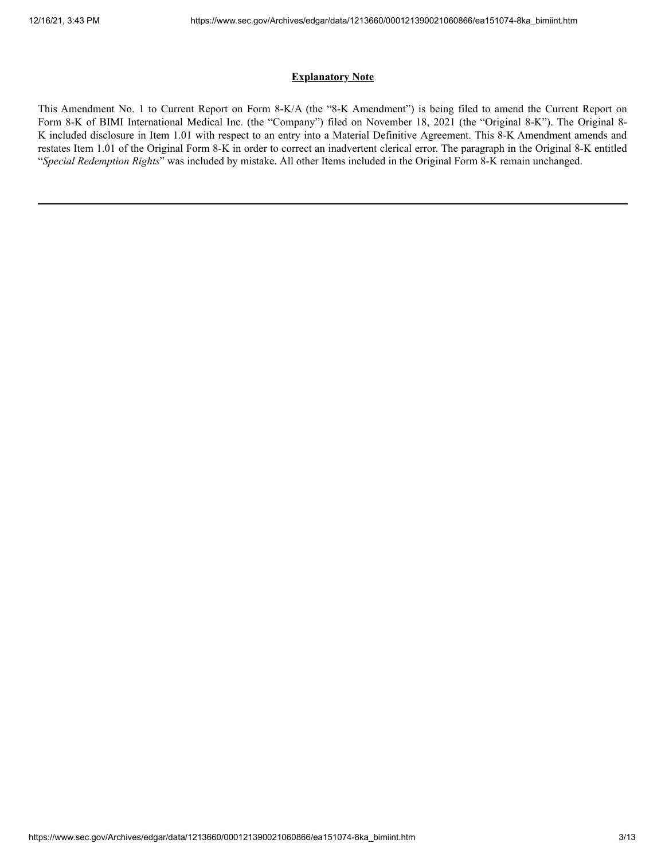# **Explanatory Note**

This Amendment No. 1 to Current Report on Form 8-K/A (the "8-K Amendment") is being filed to amend the Current Report on Form 8-K of BIMI International Medical Inc. (the "Company") filed on November 18, 2021 (the "Original 8-K"). The Original 8- K included disclosure in Item 1.01 with respect to an entry into a Material Definitive Agreement. This 8-K Amendment amends and restates Item 1.01 of the Original Form 8-K in order to correct an inadvertent clerical error. The paragraph in the Original 8-K entitled "*Special Redemption Rights*" was included by mistake. All other Items included in the Original Form 8-K remain unchanged.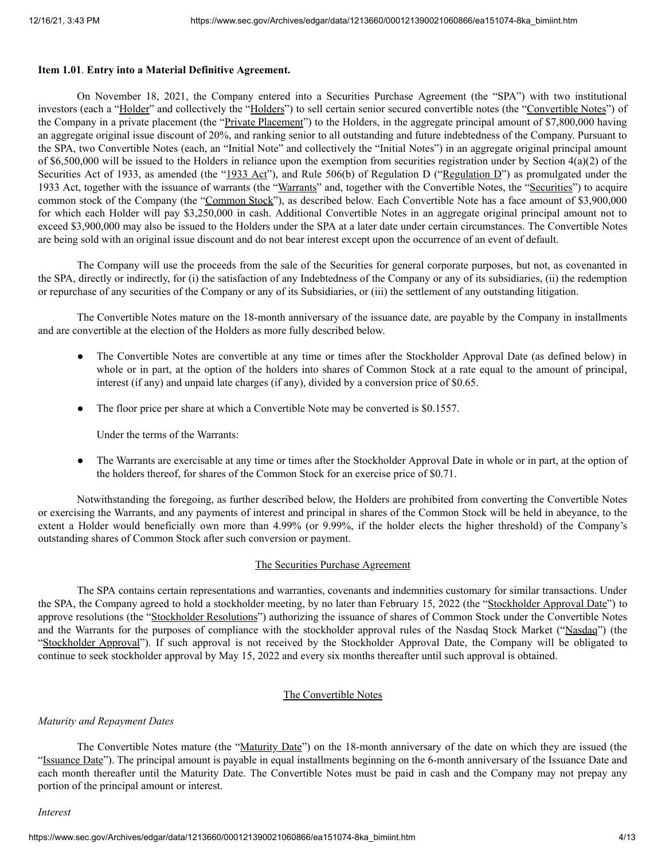# **Item 1.01**. **Entry into a Material Definitive Agreement.**

On November 18, 2021, the Company entered into a Securities Purchase Agreement (the "SPA") with two institutional investors (each a "Holder" and collectively the "Holders") to sell certain senior secured convertible notes (the "Convertible Notes") of the Company in a private placement (the "Private Placement") to the Holders, in the aggregate principal amount of \$7,800,000 having an aggregate original issue discount of 20%, and ranking senior to all outstanding and future indebtedness of the Company. Pursuant to the SPA, two Convertible Notes (each, an "Initial Note" and collectively the "Initial Notes") in an aggregate original principal amount of \$6,500,000 will be issued to the Holders in reliance upon the exemption from securities registration under by Section 4(a)(2) of the Securities Act of 1933, as amended (the "1933 Act"), and Rule 506(b) of Regulation D ("Regulation D") as promulgated under the 1933 Act, together with the issuance of warrants (the "Warrants" and, together with the Convertible Notes, the "Securities") to acquire common stock of the Company (the "Common Stock"), as described below. Each Convertible Note has a face amount of \$3,900,000 for which each Holder will pay \$3,250,000 in cash. Additional Convertible Notes in an aggregate original principal amount not to exceed \$3,900,000 may also be issued to the Holders under the SPA at a later date under certain circumstances. The Convertible Notes are being sold with an original issue discount and do not bear interest except upon the occurrence of an event of default.

The Company will use the proceeds from the sale of the Securities for general corporate purposes, but not, as covenanted in the SPA, directly or indirectly, for (i) the satisfaction of any Indebtedness of the Company or any of its subsidiaries, (ii) the redemption or repurchase of any securities of the Company or any of its Subsidiaries, or (iii) the settlement of any outstanding litigation.

The Convertible Notes mature on the 18-month anniversary of the issuance date, are payable by the Company in installments and are convertible at the election of the Holders as more fully described below.

- The Convertible Notes are convertible at any time or times after the Stockholder Approval Date (as defined below) in whole or in part, at the option of the holders into shares of Common Stock at a rate equal to the amount of principal, interest (if any) and unpaid late charges (if any), divided by a conversion price of \$0.65.
- The floor price per share at which a Convertible Note may be converted is \$0.1557.

Under the terms of the Warrants:

The Warrants are exercisable at any time or times after the Stockholder Approval Date in whole or in part, at the option of the holders thereof, for shares of the Common Stock for an exercise price of \$0.71.

Notwithstanding the foregoing, as further described below, the Holders are prohibited from converting the Convertible Notes or exercising the Warrants, and any payments of interest and principal in shares of the Common Stock will be held in abeyance, to the extent a Holder would beneficially own more than 4.99% (or 9.99%, if the holder elects the higher threshold) of the Company's outstanding shares of Common Stock after such conversion or payment.

## The Securities Purchase Agreement

The SPA contains certain representations and warranties, covenants and indemnities customary for similar transactions. Under the SPA, the Company agreed to hold a stockholder meeting, by no later than February 15, 2022 (the "Stockholder Approval Date") to approve resolutions (the "Stockholder Resolutions") authorizing the issuance of shares of Common Stock under the Convertible Notes and the Warrants for the purposes of compliance with the stockholder approval rules of the Nasdaq Stock Market ("Nasdaq") (the "Stockholder Approval"). If such approval is not received by the Stockholder Approval Date, the Company will be obligated to continue to seek stockholder approval by May 15, 2022 and every six months thereafter until such approval is obtained.

# The Convertible Notes

## *Maturity and Repayment Dates*

The Convertible Notes mature (the "Maturity Date") on the 18-month anniversary of the date on which they are issued (the "Issuance Date"). The principal amount is payable in equal installments beginning on the 6-month anniversary of the Issuance Date and each month thereafter until the Maturity Date. The Convertible Notes must be paid in cash and the Company may not prepay any portion of the principal amount or interest.

#### *Interest*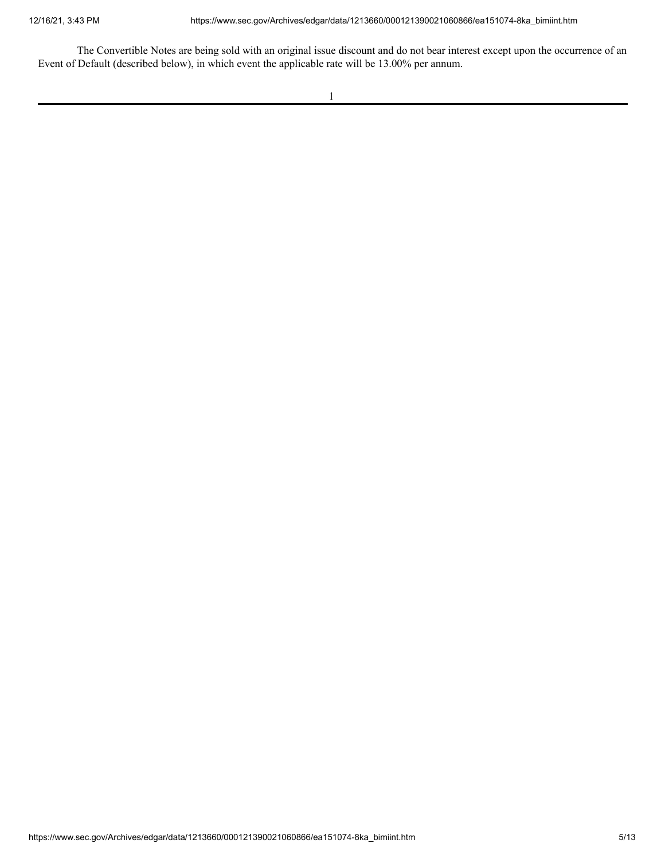The Convertible Notes are being sold with an original issue discount and do not bear interest except upon the occurrence of an Event of Default (described below), in which event the applicable rate will be 13.00% per annum.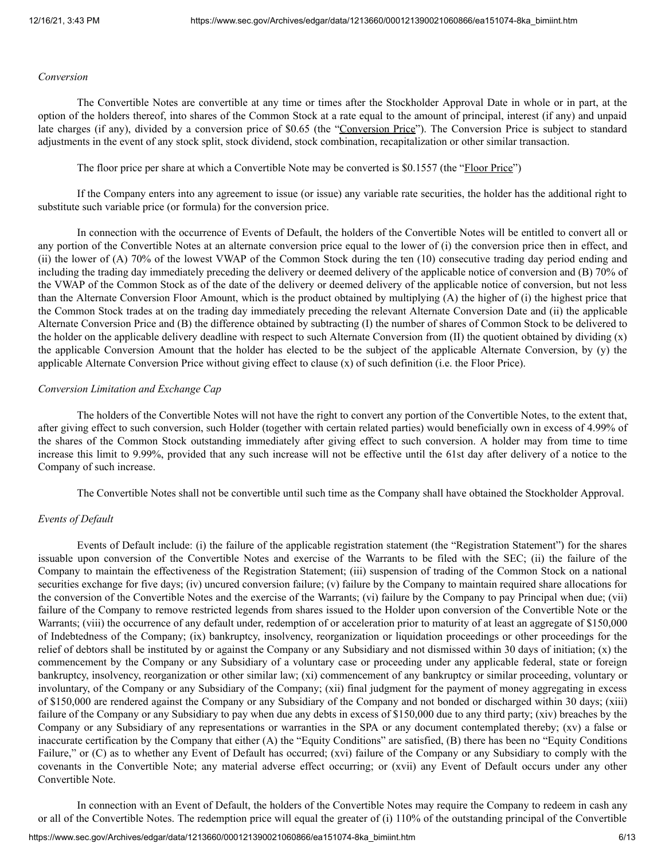### *Conversion*

The Convertible Notes are convertible at any time or times after the Stockholder Approval Date in whole or in part, at the option of the holders thereof, into shares of the Common Stock at a rate equal to the amount of principal, interest (if any) and unpaid late charges (if any), divided by a conversion price of \$0.65 (the "Conversion Price"). The Conversion Price is subject to standard adjustments in the event of any stock split, stock dividend, stock combination, recapitalization or other similar transaction.

The floor price per share at which a Convertible Note may be converted is \$0.1557 (the "Floor Price")

If the Company enters into any agreement to issue (or issue) any variable rate securities, the holder has the additional right to substitute such variable price (or formula) for the conversion price.

In connection with the occurrence of Events of Default, the holders of the Convertible Notes will be entitled to convert all or any portion of the Convertible Notes at an alternate conversion price equal to the lower of (i) the conversion price then in effect, and (ii) the lower of (A) 70% of the lowest VWAP of the Common Stock during the ten (10) consecutive trading day period ending and including the trading day immediately preceding the delivery or deemed delivery of the applicable notice of conversion and (B) 70% of the VWAP of the Common Stock as of the date of the delivery or deemed delivery of the applicable notice of conversion, but not less than the Alternate Conversion Floor Amount, which is the product obtained by multiplying (A) the higher of (i) the highest price that the Common Stock trades at on the trading day immediately preceding the relevant Alternate Conversion Date and (ii) the applicable Alternate Conversion Price and (B) the difference obtained by subtracting (I) the number of shares of Common Stock to be delivered to the holder on the applicable delivery deadline with respect to such Alternate Conversion from (II) the quotient obtained by dividing (x) the applicable Conversion Amount that the holder has elected to be the subject of the applicable Alternate Conversion, by (y) the applicable Alternate Conversion Price without giving effect to clause (x) of such definition (i.e. the Floor Price).

## *Conversion Limitation and Exchange Cap*

The holders of the Convertible Notes will not have the right to convert any portion of the Convertible Notes, to the extent that, after giving effect to such conversion, such Holder (together with certain related parties) would beneficially own in excess of 4.99% of the shares of the Common Stock outstanding immediately after giving effect to such conversion. A holder may from time to time increase this limit to 9.99%, provided that any such increase will not be effective until the 61st day after delivery of a notice to the Company of such increase.

The Convertible Notes shall not be convertible until such time as the Company shall have obtained the Stockholder Approval.

# *Events of Default*

Events of Default include: (i) the failure of the applicable registration statement (the "Registration Statement") for the shares issuable upon conversion of the Convertible Notes and exercise of the Warrants to be filed with the SEC; (ii) the failure of the Company to maintain the effectiveness of the Registration Statement; (iii) suspension of trading of the Common Stock on a national securities exchange for five days; (iv) uncured conversion failure; (v) failure by the Company to maintain required share allocations for the conversion of the Convertible Notes and the exercise of the Warrants; (vi) failure by the Company to pay Principal when due; (vii) failure of the Company to remove restricted legends from shares issued to the Holder upon conversion of the Convertible Note or the Warrants; (viii) the occurrence of any default under, redemption of or acceleration prior to maturity of at least an aggregate of \$150,000 of Indebtedness of the Company; (ix) bankruptcy, insolvency, reorganization or liquidation proceedings or other proceedings for the relief of debtors shall be instituted by or against the Company or any Subsidiary and not dismissed within 30 days of initiation; (x) the commencement by the Company or any Subsidiary of a voluntary case or proceeding under any applicable federal, state or foreign bankruptcy, insolvency, reorganization or other similar law; (xi) commencement of any bankruptcy or similar proceeding, voluntary or involuntary, of the Company or any Subsidiary of the Company; (xii) final judgment for the payment of money aggregating in excess of \$150,000 are rendered against the Company or any Subsidiary of the Company and not bonded or discharged within 30 days; (xiii) failure of the Company or any Subsidiary to pay when due any debts in excess of \$150,000 due to any third party; (xiv) breaches by the Company or any Subsidiary of any representations or warranties in the SPA or any document contemplated thereby; (xv) a false or inaccurate certification by the Company that either (A) the "Equity Conditions" are satisfied, (B) there has been no "Equity Conditions Failure," or (C) as to whether any Event of Default has occurred; (xvi) failure of the Company or any Subsidiary to comply with the covenants in the Convertible Note; any material adverse effect occurring; or (xvii) any Event of Default occurs under any other Convertible Note.

In connection with an Event of Default, the holders of the Convertible Notes may require the Company to redeem in cash any or all of the Convertible Notes. The redemption price will equal the greater of (i) 110% of the outstanding principal of the Convertible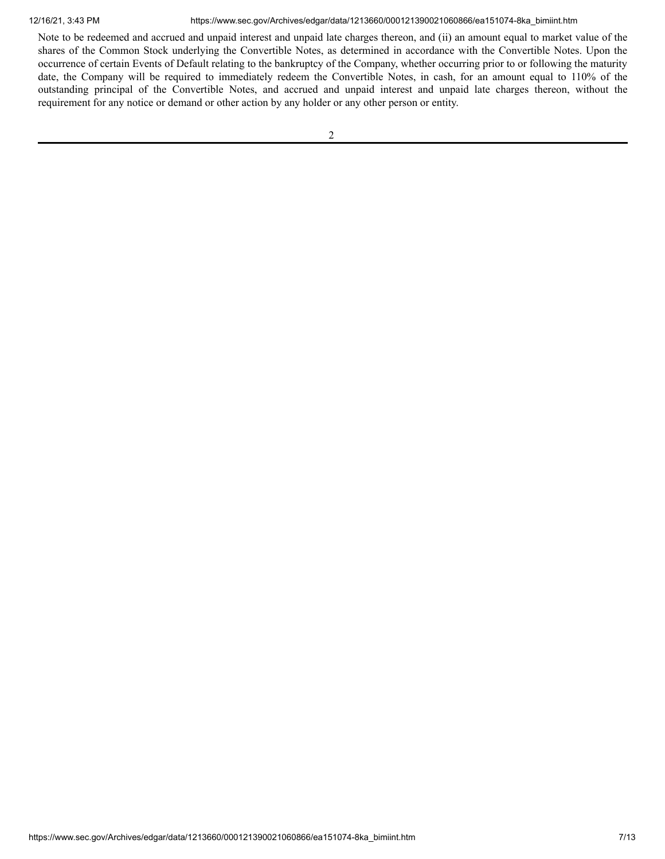12/16/21, 3:43 PM https://www.sec.gov/Archives/edgar/data/1213660/000121390021060866/ea151074-8ka\_bimiint.htm

Note to be redeemed and accrued and unpaid interest and unpaid late charges thereon, and (ii) an amount equal to market value of the shares of the Common Stock underlying the Convertible Notes, as determined in accordance with the Convertible Notes. Upon the occurrence of certain Events of Default relating to the bankruptcy of the Company, whether occurring prior to or following the maturity date, the Company will be required to immediately redeem the Convertible Notes, in cash, for an amount equal to 110% of the outstanding principal of the Convertible Notes, and accrued and unpaid interest and unpaid late charges thereon, without the requirement for any notice or demand or other action by any holder or any other person or entity.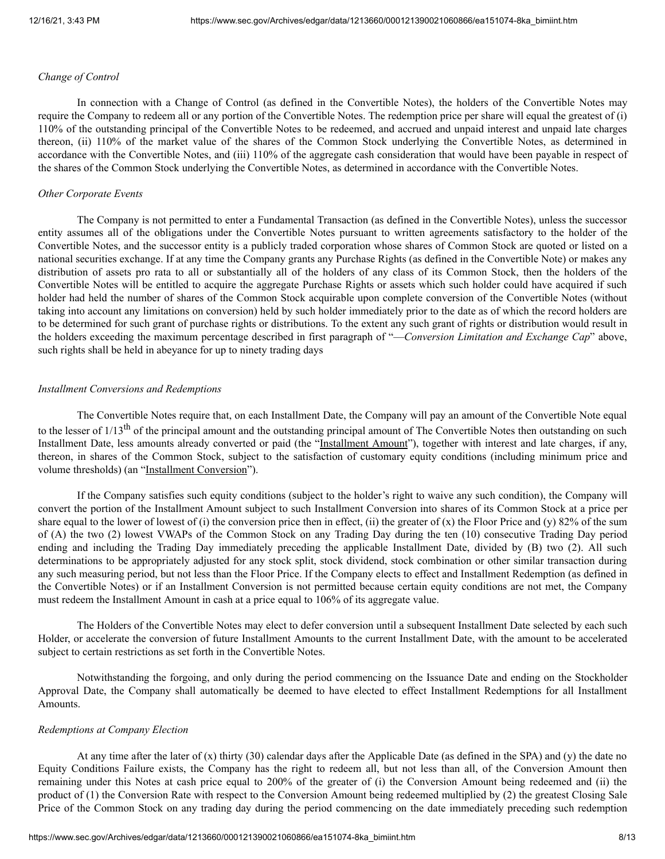## *Change of Control*

In connection with a Change of Control (as defined in the Convertible Notes), the holders of the Convertible Notes may require the Company to redeem all or any portion of the Convertible Notes. The redemption price per share will equal the greatest of (i) 110% of the outstanding principal of the Convertible Notes to be redeemed, and accrued and unpaid interest and unpaid late charges thereon, (ii) 110% of the market value of the shares of the Common Stock underlying the Convertible Notes, as determined in accordance with the Convertible Notes, and (iii) 110% of the aggregate cash consideration that would have been payable in respect of the shares of the Common Stock underlying the Convertible Notes, as determined in accordance with the Convertible Notes.

### *Other Corporate Events*

The Company is not permitted to enter a Fundamental Transaction (as defined in the Convertible Notes), unless the successor entity assumes all of the obligations under the Convertible Notes pursuant to written agreements satisfactory to the holder of the Convertible Notes, and the successor entity is a publicly traded corporation whose shares of Common Stock are quoted or listed on a national securities exchange. If at any time the Company grants any Purchase Rights (as defined in the Convertible Note) or makes any distribution of assets pro rata to all or substantially all of the holders of any class of its Common Stock, then the holders of the Convertible Notes will be entitled to acquire the aggregate Purchase Rights or assets which such holder could have acquired if such holder had held the number of shares of the Common Stock acquirable upon complete conversion of the Convertible Notes (without taking into account any limitations on conversion) held by such holder immediately prior to the date as of which the record holders are to be determined for such grant of purchase rights or distributions. To the extent any such grant of rights or distribution would result in the holders exceeding the maximum percentage described in first paragraph of "—*Conversion Limitation and Exchange Cap*" above, such rights shall be held in abeyance for up to ninety trading days

#### *Installment Conversions and Redemptions*

The Convertible Notes require that, on each Installment Date, the Company will pay an amount of the Convertible Note equal to the lesser of 1/13<sup>th</sup> of the principal amount and the outstanding principal amount of The Convertible Notes then outstanding on such Installment Date, less amounts already converted or paid (the "Installment Amount"), together with interest and late charges, if any, thereon, in shares of the Common Stock, subject to the satisfaction of customary equity conditions (including minimum price and volume thresholds) (an "Installment Conversion").

If the Company satisfies such equity conditions (subject to the holder's right to waive any such condition), the Company will convert the portion of the Installment Amount subject to such Installment Conversion into shares of its Common Stock at a price per share equal to the lower of lowest of (i) the conversion price then in effect, (ii) the greater of  $(x)$  the Floor Price and  $(y)$  82% of the sum of (A) the two (2) lowest VWAPs of the Common Stock on any Trading Day during the ten (10) consecutive Trading Day period ending and including the Trading Day immediately preceding the applicable Installment Date, divided by (B) two (2). All such determinations to be appropriately adjusted for any stock split, stock dividend, stock combination or other similar transaction during any such measuring period, but not less than the Floor Price. If the Company elects to effect and Installment Redemption (as defined in the Convertible Notes) or if an Installment Conversion is not permitted because certain equity conditions are not met, the Company must redeem the Installment Amount in cash at a price equal to 106% of its aggregate value.

The Holders of the Convertible Notes may elect to defer conversion until a subsequent Installment Date selected by each such Holder, or accelerate the conversion of future Installment Amounts to the current Installment Date, with the amount to be accelerated subject to certain restrictions as set forth in the Convertible Notes.

Notwithstanding the forgoing, and only during the period commencing on the Issuance Date and ending on the Stockholder Approval Date, the Company shall automatically be deemed to have elected to effect Installment Redemptions for all Installment Amounts.

#### *Redemptions at Company Election*

At any time after the later of (x) thirty (30) calendar days after the Applicable Date (as defined in the SPA) and (y) the date no Equity Conditions Failure exists, the Company has the right to redeem all, but not less than all, of the Conversion Amount then remaining under this Notes at cash price equal to 200% of the greater of (i) the Conversion Amount being redeemed and (ii) the product of (1) the Conversion Rate with respect to the Conversion Amount being redeemed multiplied by (2) the greatest Closing Sale Price of the Common Stock on any trading day during the period commencing on the date immediately preceding such redemption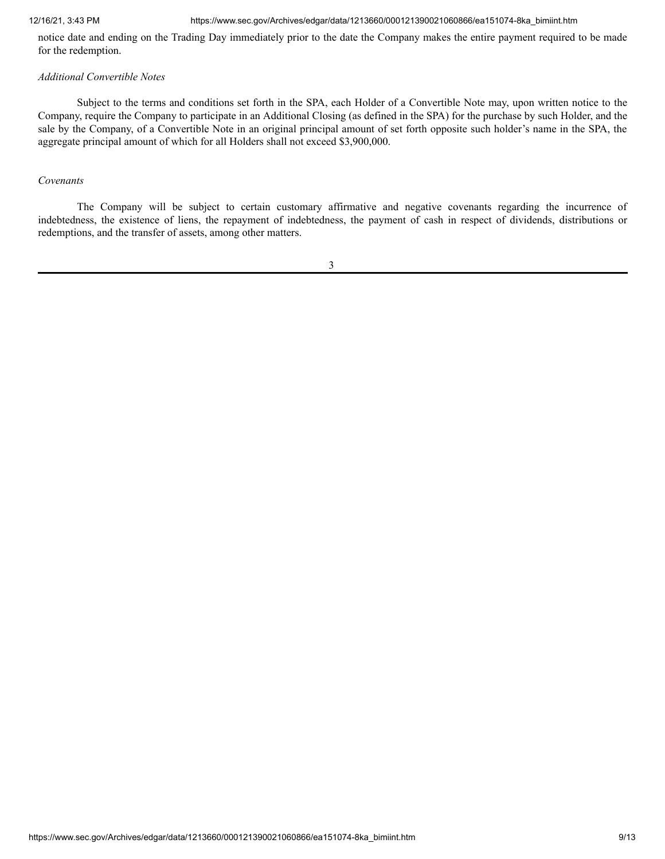## 12/16/21, 3:43 PM https://www.sec.gov/Archives/edgar/data/1213660/000121390021060866/ea151074-8ka\_bimiint.htm

notice date and ending on the Trading Day immediately prior to the date the Company makes the entire payment required to be made for the redemption.

## *Additional Convertible Notes*

Subject to the terms and conditions set forth in the SPA, each Holder of a Convertible Note may, upon written notice to the Company, require the Company to participate in an Additional Closing (as defined in the SPA) for the purchase by such Holder, and the sale by the Company, of a Convertible Note in an original principal amount of set forth opposite such holder's name in the SPA, the aggregate principal amount of which for all Holders shall not exceed \$3,900,000.

## *Covenants*

The Company will be subject to certain customary affirmative and negative covenants regarding the incurrence of indebtedness, the existence of liens, the repayment of indebtedness, the payment of cash in respect of dividends, distributions or redemptions, and the transfer of assets, among other matters.

3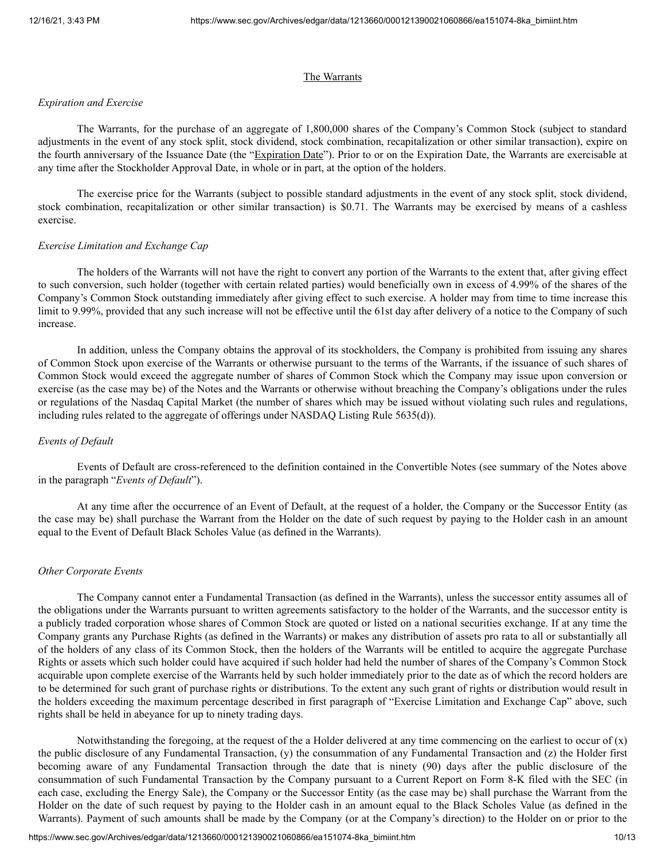#### The Warrants

## *Expiration and Exercise*

The Warrants, for the purchase of an aggregate of 1,800,000 shares of the Company's Common Stock (subject to standard adjustments in the event of any stock split, stock dividend, stock combination, recapitalization or other similar transaction), expire on the fourth anniversary of the Issuance Date (the "Expiration Date"). Prior to or on the Expiration Date, the Warrants are exercisable at any time after the Stockholder Approval Date, in whole or in part, at the option of the holders.

The exercise price for the Warrants (subject to possible standard adjustments in the event of any stock split, stock dividend, stock combination, recapitalization or other similar transaction) is \$0.71. The Warrants may be exercised by means of a cashless exercise.

#### *Exercise Limitation and Exchange Cap*

The holders of the Warrants will not have the right to convert any portion of the Warrants to the extent that, after giving effect to such conversion, such holder (together with certain related parties) would beneficially own in excess of 4.99% of the shares of the Company's Common Stock outstanding immediately after giving effect to such exercise. A holder may from time to time increase this limit to 9.99%, provided that any such increase will not be effective until the 61st day after delivery of a notice to the Company of such increase.

In addition, unless the Company obtains the approval of its stockholders, the Company is prohibited from issuing any shares of Common Stock upon exercise of the Warrants or otherwise pursuant to the terms of the Warrants, if the issuance of such shares of Common Stock would exceed the aggregate number of shares of Common Stock which the Company may issue upon conversion or exercise (as the case may be) of the Notes and the Warrants or otherwise without breaching the Company's obligations under the rules or regulations of the Nasdaq Capital Market (the number of shares which may be issued without violating such rules and regulations, including rules related to the aggregate of offerings under NASDAQ Listing Rule 5635(d)).

# *Events of Default*

Events of Default are cross-referenced to the definition contained in the Convertible Notes (see summary of the Notes above in the paragraph "*Events of Default*").

At any time after the occurrence of an Event of Default, at the request of a holder, the Company or the Successor Entity (as the case may be) shall purchase the Warrant from the Holder on the date of such request by paying to the Holder cash in an amount equal to the Event of Default Black Scholes Value (as defined in the Warrants).

#### *Other Corporate Events*

The Company cannot enter a Fundamental Transaction (as defined in the Warrants), unless the successor entity assumes all of the obligations under the Warrants pursuant to written agreements satisfactory to the holder of the Warrants, and the successor entity is a publicly traded corporation whose shares of Common Stock are quoted or listed on a national securities exchange. If at any time the Company grants any Purchase Rights (as defined in the Warrants) or makes any distribution of assets pro rata to all or substantially all of the holders of any class of its Common Stock, then the holders of the Warrants will be entitled to acquire the aggregate Purchase Rights or assets which such holder could have acquired if such holder had held the number of shares of the Company's Common Stock acquirable upon complete exercise of the Warrants held by such holder immediately prior to the date as of which the record holders are to be determined for such grant of purchase rights or distributions. To the extent any such grant of rights or distribution would result in the holders exceeding the maximum percentage described in first paragraph of "Exercise Limitation and Exchange Cap" above, such rights shall be held in abeyance for up to ninety trading days.

Notwithstanding the foregoing, at the request of the a Holder delivered at any time commencing on the earliest to occur of  $(x)$ the public disclosure of any Fundamental Transaction, (y) the consummation of any Fundamental Transaction and (z) the Holder first becoming aware of any Fundamental Transaction through the date that is ninety (90) days after the public disclosure of the consummation of such Fundamental Transaction by the Company pursuant to a Current Report on Form 8-K filed with the SEC (in each case, excluding the Energy Sale), the Company or the Successor Entity (as the case may be) shall purchase the Warrant from the Holder on the date of such request by paying to the Holder cash in an amount equal to the Black Scholes Value (as defined in the Warrants). Payment of such amounts shall be made by the Company (or at the Company's direction) to the Holder on or prior to the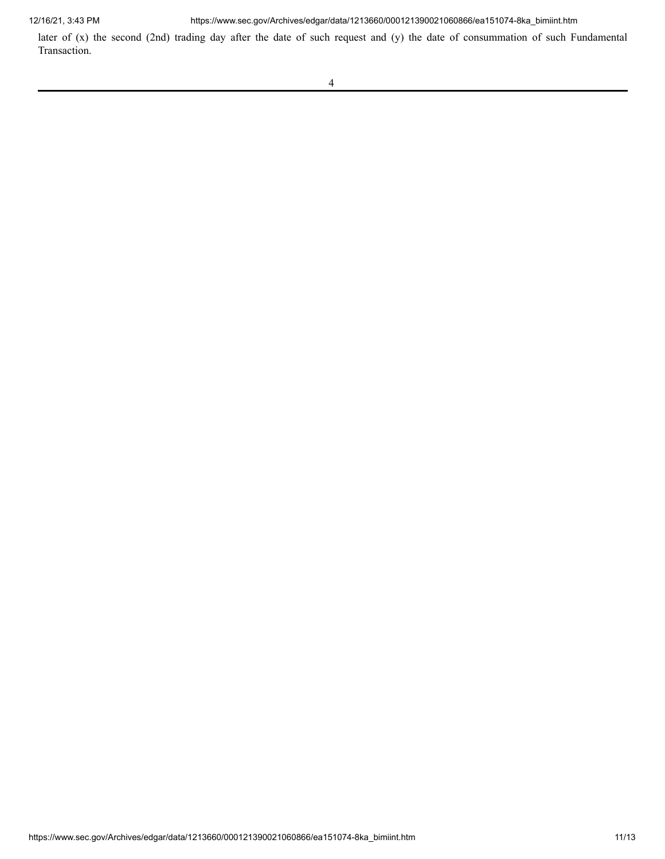12/16/21, 3:43 PM https://www.sec.gov/Archives/edgar/data/1213660/000121390021060866/ea151074-8ka\_bimiint.htm

later of (x) the second (2nd) trading day after the date of such request and (y) the date of consummation of such Fundamental Transaction.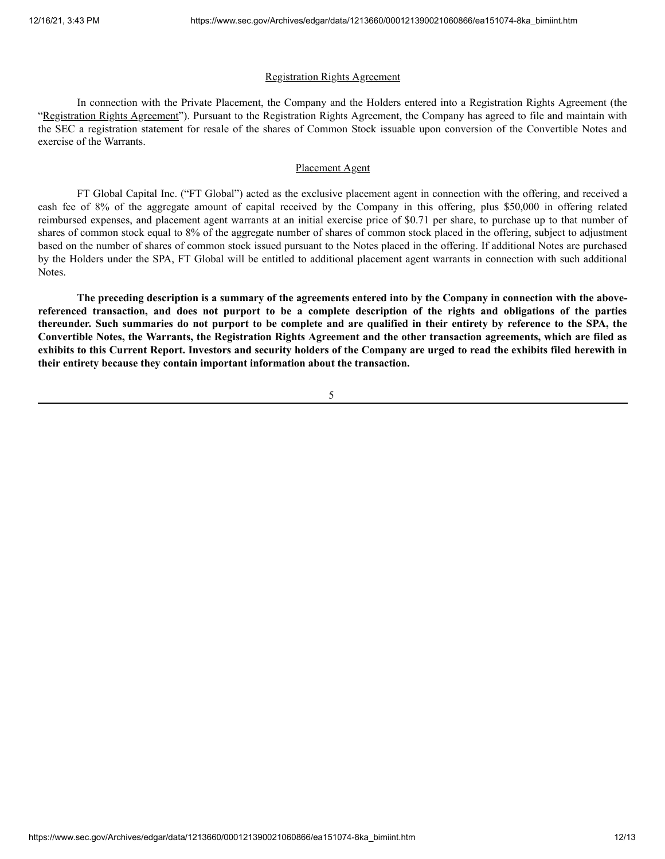## Registration Rights Agreement

In connection with the Private Placement, the Company and the Holders entered into a Registration Rights Agreement (the "Registration Rights Agreement"). Pursuant to the Registration Rights Agreement, the Company has agreed to file and maintain with the SEC a registration statement for resale of the shares of Common Stock issuable upon conversion of the Convertible Notes and exercise of the Warrants.

# Placement Agent

FT Global Capital Inc. ("FT Global") acted as the exclusive placement agent in connection with the offering, and received a cash fee of 8% of the aggregate amount of capital received by the Company in this offering, plus \$50,000 in offering related reimbursed expenses, and placement agent warrants at an initial exercise price of \$0.71 per share, to purchase up to that number of shares of common stock equal to 8% of the aggregate number of shares of common stock placed in the offering, subject to adjustment based on the number of shares of common stock issued pursuant to the Notes placed in the offering. If additional Notes are purchased by the Holders under the SPA, FT Global will be entitled to additional placement agent warrants in connection with such additional Notes.

The preceding description is a summary of the agreements entered into by the Company in connection with the abovereferenced transaction, and does not purport to be a complete description of the rights and obligations of the parties thereunder. Such summaries do not purport to be complete and are qualified in their entirety by reference to the SPA, the Convertible Notes, the Warrants, the Registration Rights Agreement and the other transaction agreements, which are filed as exhibits to this Current Report. Investors and security holders of the Company are urged to read the exhibits filed herewith in **their entirety because they contain important information about the transaction.**

5